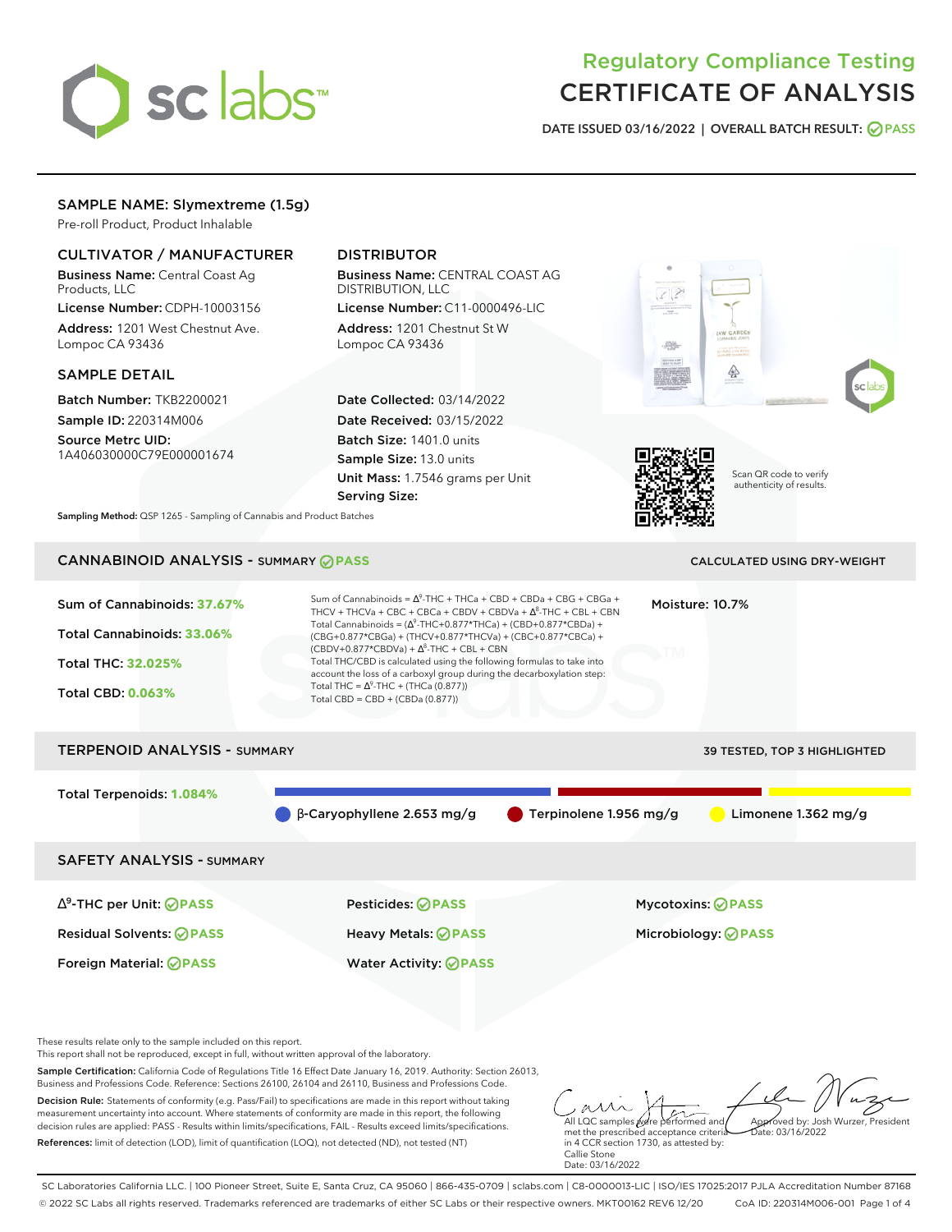

# Regulatory Compliance Testing CERTIFICATE OF ANALYSIS

**DATE ISSUED 03/16/2022 | OVERALL BATCH RESULT: PASS**

# SAMPLE NAME: Slymextreme (1.5g)

Pre-roll Product, Product Inhalable

# CULTIVATOR / MANUFACTURER

Business Name: Central Coast Ag Products, LLC

License Number: CDPH-10003156 Address: 1201 West Chestnut Ave. Lompoc CA 93436

## SAMPLE DETAIL

Batch Number: TKB2200021 Sample ID: 220314M006

Source Metrc UID: 1A406030000C79E000001674

# DISTRIBUTOR

Business Name: CENTRAL COAST AG DISTRIBUTION, LLC

License Number: C11-0000496-LIC Address: 1201 Chestnut St W Lompoc CA 93436

Date Collected: 03/14/2022 Date Received: 03/15/2022 Batch Size: 1401.0 units Sample Size: 13.0 units Unit Mass: 1.7546 grams per Unit Serving Size:





Scan QR code to verify authenticity of results.

**Sampling Method:** QSP 1265 - Sampling of Cannabis and Product Batches

# CANNABINOID ANALYSIS - SUMMARY **PASS** CALCULATED USING DRY-WEIGHT



These results relate only to the sample included on this report.

This report shall not be reproduced, except in full, without written approval of the laboratory.

Sample Certification: California Code of Regulations Title 16 Effect Date January 16, 2019. Authority: Section 26013, Business and Professions Code. Reference: Sections 26100, 26104 and 26110, Business and Professions Code.

Decision Rule: Statements of conformity (e.g. Pass/Fail) to specifications are made in this report without taking measurement uncertainty into account. Where statements of conformity are made in this report, the following decision rules are applied: PASS - Results within limits/specifications, FAIL - Results exceed limits/specifications. References: limit of detection (LOD), limit of quantification (LOQ), not detected (ND), not tested (NT)

All LQC samples were performed and met the prescribed acceptance criteria Approved by: Josh Wurzer, President  $hat: 03/16/2022$ 

in 4 CCR section 1730, as attested by: Callie Stone Date: 03/16/2022

SC Laboratories California LLC. | 100 Pioneer Street, Suite E, Santa Cruz, CA 95060 | 866-435-0709 | sclabs.com | C8-0000013-LIC | ISO/IES 17025:2017 PJLA Accreditation Number 87168 © 2022 SC Labs all rights reserved. Trademarks referenced are trademarks of either SC Labs or their respective owners. MKT00162 REV6 12/20 CoA ID: 220314M006-001 Page 1 of 4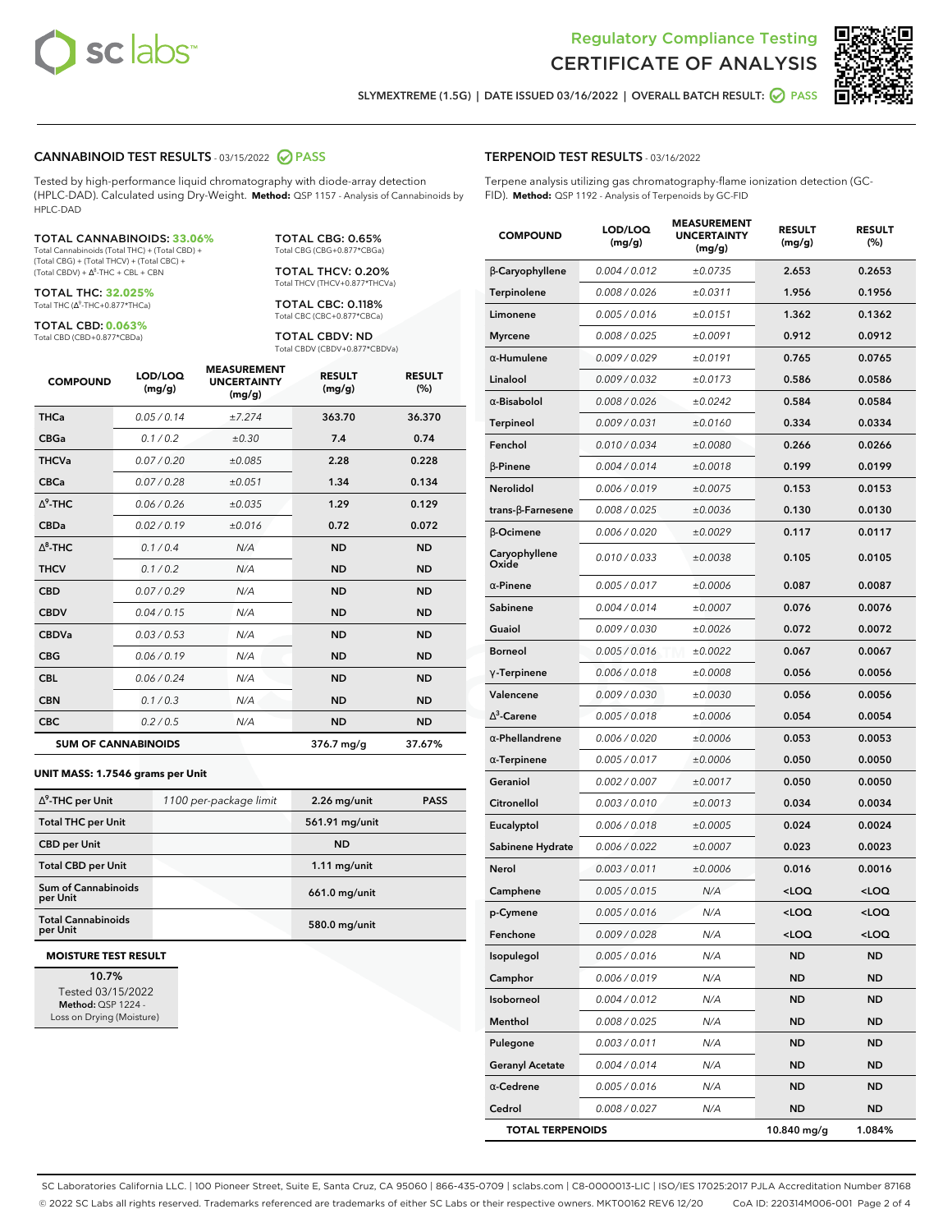



**SLYMEXTREME (1.5G) | DATE ISSUED 03/16/2022 | OVERALL BATCH RESULT: PASS**

## **CANNABINOID TEST RESULTS** - 03/15/2022 **PASS**

Tested by high-performance liquid chromatography with diode-array detection (HPLC-DAD). Calculated using Dry-Weight. **Method:** QSP 1157 - Analysis of Cannabinoids by HPLC-DAD

#### TOTAL CANNABINOIDS: **33.06%**

Total Cannabinoids (Total THC) + (Total CBD) + (Total CBG) + (Total THCV) + (Total CBC) +  $(Total CBDV) +  $\Delta^8$ -THC + CBL + CBN$ 

TOTAL THC: **32.025%** Total THC (Δ<sup>9</sup>-THC+0.877\*THCa)

TOTAL CBD: **0.063%** Total CBD (CBD+0.877\*CBDa)

TOTAL CBG: 0.65% Total CBG (CBG+0.877\*CBGa)

TOTAL THCV: 0.20% Total THCV (THCV+0.877\*THCVa)

TOTAL CBC: 0.118% Total CBC (CBC+0.877\*CBCa)

TOTAL CBDV: ND Total CBDV (CBDV+0.877\*CBDVa)

| <b>COMPOUND</b> | LOD/LOQ<br>(mg/g)          | <b>MEASUREMENT</b><br><b>UNCERTAINTY</b><br>(mg/g) | <b>RESULT</b><br>(mg/g) | <b>RESULT</b><br>(%) |
|-----------------|----------------------------|----------------------------------------------------|-------------------------|----------------------|
| <b>THCa</b>     | 0.05 / 0.14                | ±7.274                                             | 363.70                  | 36.370               |
| <b>CBGa</b>     | 0.1/0.2                    | $\pm 0.30$                                         | 7.4                     | 0.74                 |
| <b>THCVa</b>    | 0.07 / 0.20                | ±0.085                                             | 2.28                    | 0.228                |
| <b>CBCa</b>     | 0.07/0.28                  | ±0.051                                             | 1.34                    | 0.134                |
| $\wedge^9$ -THC | 0.06 / 0.26                | ±0.035                                             | 1.29                    | 0.129                |
| <b>CBDa</b>     | 0.02/0.19                  | ±0.016                                             | 0.72                    | 0.072                |
| $\wedge^8$ -THC | 0.1 / 0.4                  | N/A                                                | <b>ND</b>               | <b>ND</b>            |
| <b>THCV</b>     | 0.1/0.2                    | N/A                                                | <b>ND</b>               | <b>ND</b>            |
| <b>CBD</b>      | 0.07/0.29                  | N/A                                                | <b>ND</b>               | <b>ND</b>            |
| <b>CBDV</b>     | 0.04/0.15                  | N/A                                                | <b>ND</b>               | <b>ND</b>            |
| <b>CBDVa</b>    | 0.03/0.53                  | N/A                                                | <b>ND</b>               | <b>ND</b>            |
| <b>CBG</b>      | 0.06/0.19                  | N/A                                                | <b>ND</b>               | <b>ND</b>            |
| <b>CBL</b>      | 0.06 / 0.24                | N/A                                                | <b>ND</b>               | <b>ND</b>            |
| <b>CBN</b>      | 0.1/0.3                    | N/A                                                | <b>ND</b>               | <b>ND</b>            |
| <b>CBC</b>      | 0.2 / 0.5                  | N/A                                                | <b>ND</b>               | <b>ND</b>            |
|                 | <b>SUM OF CANNABINOIDS</b> |                                                    | 376.7 mg/g              | 37.67%               |

#### **UNIT MASS: 1.7546 grams per Unit**

| $\Delta^9$ -THC per Unit              | 1100 per-package limit | $2.26$ mg/unit | <b>PASS</b> |
|---------------------------------------|------------------------|----------------|-------------|
| <b>Total THC per Unit</b>             |                        | 561.91 mg/unit |             |
| <b>CBD per Unit</b>                   |                        | <b>ND</b>      |             |
| <b>Total CBD per Unit</b>             |                        | $1.11$ mg/unit |             |
| Sum of Cannabinoids<br>per Unit       |                        | 661.0 mg/unit  |             |
| <b>Total Cannabinoids</b><br>per Unit |                        | 580.0 mg/unit  |             |

#### **MOISTURE TEST RESULT**

**10.7%** Tested 03/15/2022 **Method:** QSP 1224 - Loss on Drying (Moisture)

# **TERPENOID TEST RESULTS** - 03/16/2022

Terpene analysis utilizing gas chromatography-flame ionization detection (GC-FID). **Method:** QSP 1192 - Analysis of Terpenoids by GC-FID

| <b>COMPOUND</b>          | LOD/LOQ<br>(mg/g) | <b>MEASUREMENT</b><br><b>UNCERTAINTY</b><br>(mg/g) | <b>RESULT</b><br>(mg/g)                         | <b>RESULT</b><br>$(\%)$ |
|--------------------------|-------------------|----------------------------------------------------|-------------------------------------------------|-------------------------|
| β-Caryophyllene          | 0.004 / 0.012     | ±0.0735                                            | 2.653                                           | 0.2653                  |
| Terpinolene              | 0.008 / 0.026     | ±0.0311                                            | 1.956                                           | 0.1956                  |
| Limonene                 | 0.005 / 0.016     | ±0.0151                                            | 1.362                                           | 0.1362                  |
| <b>Myrcene</b>           | 0.008 / 0.025     | ±0.0091                                            | 0.912                                           | 0.0912                  |
| $\alpha$ -Humulene       | 0.009 / 0.029     | ±0.0191                                            | 0.765                                           | 0.0765                  |
| Linalool                 | 0.009 / 0.032     | ±0.0173                                            | 0.586                                           | 0.0586                  |
| $\alpha$ -Bisabolol      | 0.008 / 0.026     | ±0.0242                                            | 0.584                                           | 0.0584                  |
| <b>Terpineol</b>         | 0.009 / 0.031     | ±0.0160                                            | 0.334                                           | 0.0334                  |
| Fenchol                  | 0.010 / 0.034     | ±0.0080                                            | 0.266                                           | 0.0266                  |
| β-Pinene                 | 0.004 / 0.014     | ±0.0018                                            | 0.199                                           | 0.0199                  |
| Nerolidol                | 0.006 / 0.019     | ±0.0075                                            | 0.153                                           | 0.0153                  |
| $trans-\beta$ -Farnesene | 0.008 / 0.025     | ±0.0036                                            | 0.130                                           | 0.0130                  |
| β-Ocimene                | 0.006 / 0.020     | ±0.0029                                            | 0.117                                           | 0.0117                  |
| Caryophyllene<br>Oxide   | 0.010 / 0.033     | ±0.0038                                            | 0.105                                           | 0.0105                  |
| $\alpha$ -Pinene         | 0.005 / 0.017     | ±0.0006                                            | 0.087                                           | 0.0087                  |
| Sabinene                 | 0.004 / 0.014     | ±0.0007                                            | 0.076                                           | 0.0076                  |
| Guaiol                   | 0.009 / 0.030     | ±0.0026                                            | 0.072                                           | 0.0072                  |
| <b>Borneol</b>           | 0.005 / 0.016     | ±0.0022                                            | 0.067                                           | 0.0067                  |
| $\gamma$ -Terpinene      | 0.006 / 0.018     | ±0.0008                                            | 0.056                                           | 0.0056                  |
| Valencene                | 0.009 / 0.030     | ±0.0030                                            | 0.056                                           | 0.0056                  |
| $\Delta^3$ -Carene       | $0.005$ / $0.018$ | ±0.0006                                            | 0.054                                           | 0.0054                  |
| $\alpha$ -Phellandrene   | 0.006 / 0.020     | ±0.0006                                            | 0.053                                           | 0.0053                  |
| $\alpha$ -Terpinene      | 0.005 / 0.017     | ±0.0006                                            | 0.050                                           | 0.0050                  |
| Geraniol                 | 0.002 / 0.007     | ±0.0017                                            | 0.050                                           | 0.0050                  |
| Citronellol              | 0.003 / 0.010     | ±0.0013                                            | 0.034                                           | 0.0034                  |
| Eucalyptol               | 0.006 / 0.018     | ±0.0005                                            | 0.024                                           | 0.0024                  |
| Sabinene Hydrate         | 0.006 / 0.022     | ±0.0007                                            | 0.023                                           | 0.0023                  |
| Nerol                    | 0.003 / 0.011     | ±0.0006                                            | 0.016                                           | 0.0016                  |
| Camphene                 | 0.005 / 0.015     | N/A                                                | <loq< th=""><th><loq< th=""></loq<></th></loq<> | <loq< th=""></loq<>     |
| p-Cymene                 | 0.005 / 0.016     | N/A                                                | $<$ l OO                                        | $\sim$ 0.0              |
| Fenchone                 | 0.009 / 0.028     | N/A                                                | <loq< th=""><th><loq< th=""></loq<></th></loq<> | <loq< th=""></loq<>     |
| Isopulegol               | 0.005 / 0.016     | N/A                                                | <b>ND</b>                                       | ND                      |
| Camphor                  | 0.006 / 0.019     | N/A                                                | ND                                              | ND                      |
| Isoborneol               | 0.004 / 0.012     | N/A                                                | ND                                              | ND                      |
| Menthol                  | 0.008 / 0.025     | N/A                                                | ND                                              | ND                      |
| Pulegone                 | 0.003 / 0.011     | N/A                                                | ND                                              | ND                      |
| <b>Geranyl Acetate</b>   | 0.004 / 0.014     | N/A                                                | <b>ND</b>                                       | ND                      |
| $\alpha$ -Cedrene        | 0.005 / 0.016     | N/A                                                | ND                                              | ND                      |
| Cedrol                   | 0.008 / 0.027     | N/A                                                | ND                                              | ND                      |
| <b>TOTAL TERPENOIDS</b>  |                   |                                                    | 10.840 mg/g                                     | 1.084%                  |

SC Laboratories California LLC. | 100 Pioneer Street, Suite E, Santa Cruz, CA 95060 | 866-435-0709 | sclabs.com | C8-0000013-LIC | ISO/IES 17025:2017 PJLA Accreditation Number 87168 © 2022 SC Labs all rights reserved. Trademarks referenced are trademarks of either SC Labs or their respective owners. MKT00162 REV6 12/20 CoA ID: 220314M006-001 Page 2 of 4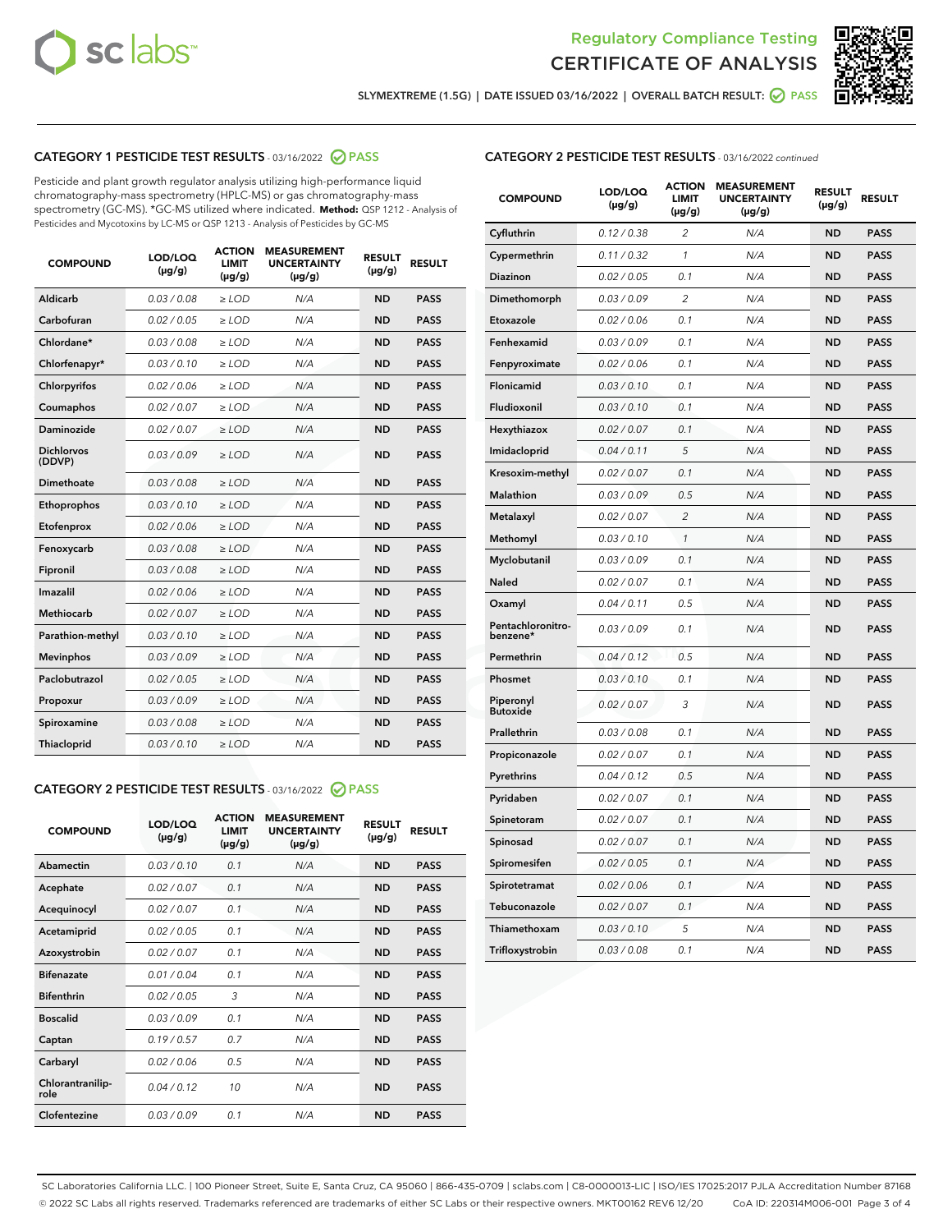



**SLYMEXTREME (1.5G) | DATE ISSUED 03/16/2022 | OVERALL BATCH RESULT: PASS**

# **CATEGORY 1 PESTICIDE TEST RESULTS** - 03/16/2022 **PASS**

Pesticide and plant growth regulator analysis utilizing high-performance liquid chromatography-mass spectrometry (HPLC-MS) or gas chromatography-mass spectrometry (GC-MS). \*GC-MS utilized where indicated. **Method:** QSP 1212 - Analysis of Pesticides and Mycotoxins by LC-MS or QSP 1213 - Analysis of Pesticides by GC-MS

| 0.03 / 0.08<br>Aldicarb<br>$\ge$ LOD<br>N/A<br><b>ND</b><br><b>PASS</b><br>Carbofuran<br>0.02 / 0.05<br>$>$ LOD<br>N/A<br><b>ND</b><br><b>PASS</b><br>Chlordane*<br>0.03 / 0.08<br>N/A<br><b>ND</b><br><b>PASS</b><br>$\ge$ LOD<br>0.03/0.10<br>N/A<br><b>ND</b><br><b>PASS</b><br>Chlorfenapyr*<br>$\geq$ LOD<br>0.02/0.06<br>N/A<br><b>ND</b><br><b>PASS</b><br>Chlorpyrifos<br>$\ge$ LOD<br>Coumaphos<br>0.02 / 0.07<br>$>$ LOD<br>N/A<br><b>ND</b><br><b>PASS</b><br>Daminozide<br>0.02 / 0.07<br>$>$ LOD<br>N/A<br><b>ND</b><br><b>PASS</b><br><b>Dichlorvos</b><br>0.03/0.09<br>N/A<br><b>ND</b><br><b>PASS</b><br>$>$ LOD<br>(DDVP)<br>0.03/0.08<br>N/A<br><b>ND</b><br><b>PASS</b><br>Dimethoate<br>$>$ LOD<br>0.03/0.10<br><b>ND</b><br><b>PASS</b><br>Ethoprophos<br>$>$ LOD<br>N/A<br>0.02 / 0.06<br><b>ND</b><br><b>PASS</b><br>Etofenprox<br>$\ge$ LOD<br>N/A<br>0.03 / 0.08<br>N/A<br><b>ND</b><br><b>PASS</b><br>Fenoxycarb<br>$\ge$ LOD<br>Fipronil<br>0.03 / 0.08<br>$\ge$ LOD<br>N/A<br><b>ND</b><br><b>PASS</b><br>Imazalil<br>0.02/0.06<br>$>$ LOD<br>N/A<br><b>ND</b><br><b>PASS</b><br>Methiocarb<br>0.02 / 0.07<br><b>PASS</b><br>$\ge$ LOD<br>N/A<br><b>ND</b><br>N/A<br><b>ND</b><br><b>PASS</b><br>Parathion-methyl<br>0.03/0.10<br>$\ge$ LOD<br>0.03/0.09<br>$\ge$ LOD<br>N/A<br><b>ND</b><br><b>PASS</b><br><b>Mevinphos</b><br>Paclobutrazol<br>0.02 / 0.05<br>$\ge$ LOD<br>N/A<br><b>ND</b><br><b>PASS</b><br>0.03/0.09<br>$\ge$ LOD<br>N/A<br><b>ND</b><br><b>PASS</b><br>Propoxur<br>0.03 / 0.08<br>N/A<br><b>ND</b><br><b>PASS</b><br>Spiroxamine<br>$>$ LOD<br><b>ND</b><br>Thiacloprid<br>0.03/0.10<br>$>$ LOD<br>N/A<br><b>PASS</b> | <b>COMPOUND</b> | LOD/LOQ<br>$(\mu g/g)$ | <b>ACTION</b><br><b>LIMIT</b><br>$(\mu g/g)$ | <b>MEASUREMENT</b><br><b>UNCERTAINTY</b><br>$(\mu g/g)$ | <b>RESULT</b><br>$(\mu g/g)$ | <b>RESULT</b> |
|-------------------------------------------------------------------------------------------------------------------------------------------------------------------------------------------------------------------------------------------------------------------------------------------------------------------------------------------------------------------------------------------------------------------------------------------------------------------------------------------------------------------------------------------------------------------------------------------------------------------------------------------------------------------------------------------------------------------------------------------------------------------------------------------------------------------------------------------------------------------------------------------------------------------------------------------------------------------------------------------------------------------------------------------------------------------------------------------------------------------------------------------------------------------------------------------------------------------------------------------------------------------------------------------------------------------------------------------------------------------------------------------------------------------------------------------------------------------------------------------------------------------------------------------------------------------------------------------------------------------------------------------------------------------------|-----------------|------------------------|----------------------------------------------|---------------------------------------------------------|------------------------------|---------------|
|                                                                                                                                                                                                                                                                                                                                                                                                                                                                                                                                                                                                                                                                                                                                                                                                                                                                                                                                                                                                                                                                                                                                                                                                                                                                                                                                                                                                                                                                                                                                                                                                                                                                         |                 |                        |                                              |                                                         |                              |               |
|                                                                                                                                                                                                                                                                                                                                                                                                                                                                                                                                                                                                                                                                                                                                                                                                                                                                                                                                                                                                                                                                                                                                                                                                                                                                                                                                                                                                                                                                                                                                                                                                                                                                         |                 |                        |                                              |                                                         |                              |               |
|                                                                                                                                                                                                                                                                                                                                                                                                                                                                                                                                                                                                                                                                                                                                                                                                                                                                                                                                                                                                                                                                                                                                                                                                                                                                                                                                                                                                                                                                                                                                                                                                                                                                         |                 |                        |                                              |                                                         |                              |               |
|                                                                                                                                                                                                                                                                                                                                                                                                                                                                                                                                                                                                                                                                                                                                                                                                                                                                                                                                                                                                                                                                                                                                                                                                                                                                                                                                                                                                                                                                                                                                                                                                                                                                         |                 |                        |                                              |                                                         |                              |               |
|                                                                                                                                                                                                                                                                                                                                                                                                                                                                                                                                                                                                                                                                                                                                                                                                                                                                                                                                                                                                                                                                                                                                                                                                                                                                                                                                                                                                                                                                                                                                                                                                                                                                         |                 |                        |                                              |                                                         |                              |               |
|                                                                                                                                                                                                                                                                                                                                                                                                                                                                                                                                                                                                                                                                                                                                                                                                                                                                                                                                                                                                                                                                                                                                                                                                                                                                                                                                                                                                                                                                                                                                                                                                                                                                         |                 |                        |                                              |                                                         |                              |               |
|                                                                                                                                                                                                                                                                                                                                                                                                                                                                                                                                                                                                                                                                                                                                                                                                                                                                                                                                                                                                                                                                                                                                                                                                                                                                                                                                                                                                                                                                                                                                                                                                                                                                         |                 |                        |                                              |                                                         |                              |               |
|                                                                                                                                                                                                                                                                                                                                                                                                                                                                                                                                                                                                                                                                                                                                                                                                                                                                                                                                                                                                                                                                                                                                                                                                                                                                                                                                                                                                                                                                                                                                                                                                                                                                         |                 |                        |                                              |                                                         |                              |               |
|                                                                                                                                                                                                                                                                                                                                                                                                                                                                                                                                                                                                                                                                                                                                                                                                                                                                                                                                                                                                                                                                                                                                                                                                                                                                                                                                                                                                                                                                                                                                                                                                                                                                         |                 |                        |                                              |                                                         |                              |               |
|                                                                                                                                                                                                                                                                                                                                                                                                                                                                                                                                                                                                                                                                                                                                                                                                                                                                                                                                                                                                                                                                                                                                                                                                                                                                                                                                                                                                                                                                                                                                                                                                                                                                         |                 |                        |                                              |                                                         |                              |               |
|                                                                                                                                                                                                                                                                                                                                                                                                                                                                                                                                                                                                                                                                                                                                                                                                                                                                                                                                                                                                                                                                                                                                                                                                                                                                                                                                                                                                                                                                                                                                                                                                                                                                         |                 |                        |                                              |                                                         |                              |               |
|                                                                                                                                                                                                                                                                                                                                                                                                                                                                                                                                                                                                                                                                                                                                                                                                                                                                                                                                                                                                                                                                                                                                                                                                                                                                                                                                                                                                                                                                                                                                                                                                                                                                         |                 |                        |                                              |                                                         |                              |               |
|                                                                                                                                                                                                                                                                                                                                                                                                                                                                                                                                                                                                                                                                                                                                                                                                                                                                                                                                                                                                                                                                                                                                                                                                                                                                                                                                                                                                                                                                                                                                                                                                                                                                         |                 |                        |                                              |                                                         |                              |               |
|                                                                                                                                                                                                                                                                                                                                                                                                                                                                                                                                                                                                                                                                                                                                                                                                                                                                                                                                                                                                                                                                                                                                                                                                                                                                                                                                                                                                                                                                                                                                                                                                                                                                         |                 |                        |                                              |                                                         |                              |               |
|                                                                                                                                                                                                                                                                                                                                                                                                                                                                                                                                                                                                                                                                                                                                                                                                                                                                                                                                                                                                                                                                                                                                                                                                                                                                                                                                                                                                                                                                                                                                                                                                                                                                         |                 |                        |                                              |                                                         |                              |               |
|                                                                                                                                                                                                                                                                                                                                                                                                                                                                                                                                                                                                                                                                                                                                                                                                                                                                                                                                                                                                                                                                                                                                                                                                                                                                                                                                                                                                                                                                                                                                                                                                                                                                         |                 |                        |                                              |                                                         |                              |               |
|                                                                                                                                                                                                                                                                                                                                                                                                                                                                                                                                                                                                                                                                                                                                                                                                                                                                                                                                                                                                                                                                                                                                                                                                                                                                                                                                                                                                                                                                                                                                                                                                                                                                         |                 |                        |                                              |                                                         |                              |               |
|                                                                                                                                                                                                                                                                                                                                                                                                                                                                                                                                                                                                                                                                                                                                                                                                                                                                                                                                                                                                                                                                                                                                                                                                                                                                                                                                                                                                                                                                                                                                                                                                                                                                         |                 |                        |                                              |                                                         |                              |               |
|                                                                                                                                                                                                                                                                                                                                                                                                                                                                                                                                                                                                                                                                                                                                                                                                                                                                                                                                                                                                                                                                                                                                                                                                                                                                                                                                                                                                                                                                                                                                                                                                                                                                         |                 |                        |                                              |                                                         |                              |               |
|                                                                                                                                                                                                                                                                                                                                                                                                                                                                                                                                                                                                                                                                                                                                                                                                                                                                                                                                                                                                                                                                                                                                                                                                                                                                                                                                                                                                                                                                                                                                                                                                                                                                         |                 |                        |                                              |                                                         |                              |               |
|                                                                                                                                                                                                                                                                                                                                                                                                                                                                                                                                                                                                                                                                                                                                                                                                                                                                                                                                                                                                                                                                                                                                                                                                                                                                                                                                                                                                                                                                                                                                                                                                                                                                         |                 |                        |                                              |                                                         |                              |               |

# **CATEGORY 2 PESTICIDE TEST RESULTS** - 03/16/2022 **PASS**

| <b>COMPOUND</b>          | LOD/LOQ<br>$(\mu g/g)$ | <b>ACTION</b><br><b>LIMIT</b><br>$(\mu g/g)$ | <b>MEASUREMENT</b><br><b>UNCERTAINTY</b><br>$(\mu g/g)$ | <b>RESULT</b><br>$(\mu g/g)$ | <b>RESULT</b> |  |
|--------------------------|------------------------|----------------------------------------------|---------------------------------------------------------|------------------------------|---------------|--|
| Abamectin                | 0.03/0.10              | 0.1                                          | N/A                                                     | <b>ND</b>                    | <b>PASS</b>   |  |
| Acephate                 | 0.02/0.07              | 0.1                                          | N/A                                                     | <b>ND</b>                    | <b>PASS</b>   |  |
| Acequinocyl              | 0.02/0.07              | 0.1                                          | N/A                                                     | <b>ND</b>                    | <b>PASS</b>   |  |
| Acetamiprid              | 0.02/0.05              | 0.1                                          | N/A                                                     | <b>ND</b>                    | <b>PASS</b>   |  |
| Azoxystrobin             | 0.02/0.07              | 0.1                                          | N/A                                                     | <b>ND</b>                    | <b>PASS</b>   |  |
| <b>Bifenazate</b>        | 0.01/0.04              | 0.1                                          | N/A                                                     | <b>ND</b>                    | <b>PASS</b>   |  |
| <b>Bifenthrin</b>        | 0.02 / 0.05            | 3                                            | N/A                                                     | <b>ND</b>                    | <b>PASS</b>   |  |
| <b>Boscalid</b>          | 0.03/0.09              | 0.1                                          | N/A                                                     | <b>ND</b>                    | <b>PASS</b>   |  |
| Captan                   | 0.19/0.57              | 0.7                                          | N/A                                                     | <b>ND</b>                    | <b>PASS</b>   |  |
| Carbaryl                 | 0.02/0.06              | 0.5                                          | N/A                                                     | <b>ND</b>                    | <b>PASS</b>   |  |
| Chlorantranilip-<br>role | 0.04/0.12              | 10                                           | N/A                                                     | <b>ND</b>                    | <b>PASS</b>   |  |
| Clofentezine             | 0.03/0.09              | 0.1                                          | N/A                                                     | <b>ND</b>                    | <b>PASS</b>   |  |

# **CATEGORY 2 PESTICIDE TEST RESULTS** - 03/16/2022 continued

| <b>COMPOUND</b>               | LOD/LOQ<br>(µg/g) | <b>ACTION</b><br><b>LIMIT</b><br>(µg/g) | <b>MEASUREMENT</b><br><b>UNCERTAINTY</b><br>(µg/g) | <b>RESULT</b><br>(µg/g) | <b>RESULT</b> |
|-------------------------------|-------------------|-----------------------------------------|----------------------------------------------------|-------------------------|---------------|
| Cyfluthrin                    | 0.12 / 0.38       | $\overline{c}$                          | N/A                                                | <b>ND</b>               | <b>PASS</b>   |
| Cypermethrin                  | 0.11 / 0.32       | 1                                       | N/A                                                | <b>ND</b>               | <b>PASS</b>   |
| <b>Diazinon</b>               | 0.02 / 0.05       | 0.1                                     | N/A                                                | <b>ND</b>               | <b>PASS</b>   |
| Dimethomorph                  | 0.03 / 0.09       | $\overline{2}$                          | N/A                                                | <b>ND</b>               | <b>PASS</b>   |
| Etoxazole                     | 0.02 / 0.06       | 0.1                                     | N/A                                                | <b>ND</b>               | <b>PASS</b>   |
| Fenhexamid                    | 0.03 / 0.09       | 0.1                                     | N/A                                                | <b>ND</b>               | <b>PASS</b>   |
| Fenpyroximate                 | 0.02 / 0.06       | 0.1                                     | N/A                                                | <b>ND</b>               | <b>PASS</b>   |
| Flonicamid                    | 0.03 / 0.10       | 0.1                                     | N/A                                                | <b>ND</b>               | <b>PASS</b>   |
| Fludioxonil                   | 0.03 / 0.10       | 0.1                                     | N/A                                                | <b>ND</b>               | <b>PASS</b>   |
| Hexythiazox                   | 0.02 / 0.07       | 0.1                                     | N/A                                                | <b>ND</b>               | <b>PASS</b>   |
| Imidacloprid                  | 0.04 / 0.11       | 5                                       | N/A                                                | <b>ND</b>               | <b>PASS</b>   |
| Kresoxim-methyl               | 0.02 / 0.07       | 0.1                                     | N/A                                                | <b>ND</b>               | <b>PASS</b>   |
| Malathion                     | 0.03 / 0.09       | 0.5                                     | N/A                                                | <b>ND</b>               | <b>PASS</b>   |
| Metalaxyl                     | 0.02 / 0.07       | $\overline{c}$                          | N/A                                                | <b>ND</b>               | <b>PASS</b>   |
| Methomyl                      | 0.03 / 0.10       | 1                                       | N/A                                                | <b>ND</b>               | <b>PASS</b>   |
| Myclobutanil                  | 0.03 / 0.09       | 0.1                                     | N/A                                                | <b>ND</b>               | <b>PASS</b>   |
| Naled                         | 0.02 / 0.07       | 0.1                                     | N/A                                                | <b>ND</b>               | <b>PASS</b>   |
| Oxamyl                        | 0.04 / 0.11       | 0.5                                     | N/A                                                | ND                      | <b>PASS</b>   |
| Pentachloronitro-<br>benzene* | 0.03 / 0.09       | 0.1                                     | N/A                                                | <b>ND</b>               | <b>PASS</b>   |
| Permethrin                    | 0.04/0.12         | 0.5                                     | N/A                                                | <b>ND</b>               | <b>PASS</b>   |
| Phosmet                       | 0.03 / 0.10       | 0.1                                     | N/A                                                | <b>ND</b>               | <b>PASS</b>   |
| Piperonyl<br><b>Butoxide</b>  | 0.02 / 0.07       | 3                                       | N/A                                                | <b>ND</b>               | <b>PASS</b>   |
| Prallethrin                   | 0.03 / 0.08       | 0.1                                     | N/A                                                | <b>ND</b>               | <b>PASS</b>   |
| Propiconazole                 | 0.02 / 0.07       | 0.1                                     | N/A                                                | <b>ND</b>               | <b>PASS</b>   |
| Pyrethrins                    | 0.04 / 0.12       | 0.5                                     | N/A                                                | <b>ND</b>               | <b>PASS</b>   |
| Pyridaben                     | 0.02 / 0.07       | 0.1                                     | N/A                                                | <b>ND</b>               | <b>PASS</b>   |
| Spinetoram                    | 0.02 / 0.07       | 0.1                                     | N/A                                                | <b>ND</b>               | <b>PASS</b>   |
| Spinosad                      | 0.02 / 0.07       | 0.1                                     | N/A                                                | <b>ND</b>               | <b>PASS</b>   |
| Spiromesifen                  | 0.02 / 0.05       | 0.1                                     | N/A                                                | <b>ND</b>               | <b>PASS</b>   |
| Spirotetramat                 | 0.02 / 0.06       | 0.1                                     | N/A                                                | <b>ND</b>               | <b>PASS</b>   |
| Tebuconazole                  | 0.02 / 0.07       | 0.1                                     | N/A                                                | <b>ND</b>               | <b>PASS</b>   |
| Thiamethoxam                  | 0.03 / 0.10       | 5                                       | N/A                                                | <b>ND</b>               | <b>PASS</b>   |
| Trifloxystrobin               | 0.03 / 0.08       | 0.1                                     | N/A                                                | <b>ND</b>               | <b>PASS</b>   |

SC Laboratories California LLC. | 100 Pioneer Street, Suite E, Santa Cruz, CA 95060 | 866-435-0709 | sclabs.com | C8-0000013-LIC | ISO/IES 17025:2017 PJLA Accreditation Number 87168 © 2022 SC Labs all rights reserved. Trademarks referenced are trademarks of either SC Labs or their respective owners. MKT00162 REV6 12/20 CoA ID: 220314M006-001 Page 3 of 4